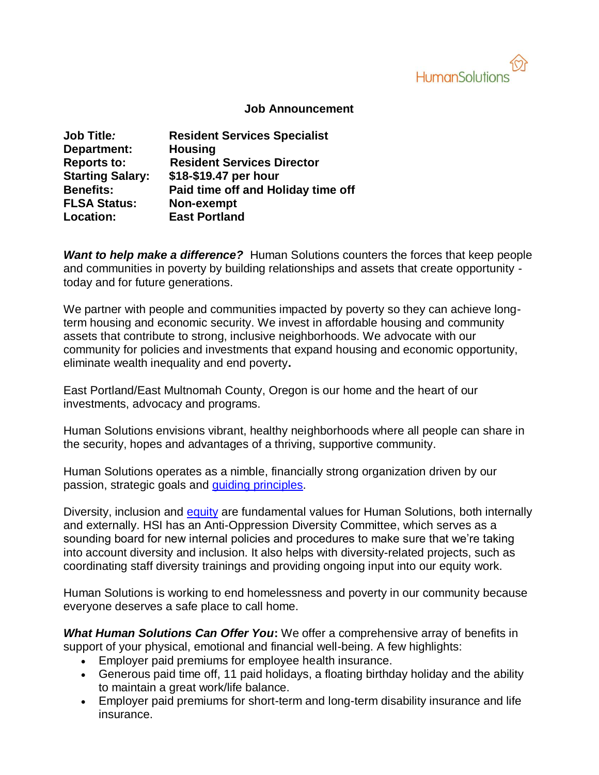

## **Job Announcement**

| <b>Job Title:</b>       | <b>Resident Services Specialist</b> |
|-------------------------|-------------------------------------|
| Department:             | <b>Housing</b>                      |
| <b>Reports to:</b>      | <b>Resident Services Director</b>   |
| <b>Starting Salary:</b> | \$18-\$19.47 per hour               |
| <b>Benefits:</b>        | Paid time off and Holiday time off  |
| <b>FLSA Status:</b>     | Non-exempt                          |
| Location:               | <b>East Portland</b>                |

**Want to help make a difference?** Human Solutions counters the forces that keep people and communities in poverty by building relationships and assets that create opportunity today and for future generations.

We partner with people and communities impacted by poverty so they can achieve longterm housing and economic security. We invest in affordable housing and community assets that contribute to strong, inclusive neighborhoods. We advocate with our community for policies and investments that expand housing and economic opportunity, eliminate wealth inequality and end poverty**.**

East Portland/East Multnomah County, Oregon is our home and the heart of our investments, advocacy and programs.

Human Solutions envisions vibrant, healthy neighborhoods where all people can share in the security, hopes and advantages of a thriving, supportive community.

Human Solutions operates as a nimble, financially strong organization driven by our passion, strategic goals and [guiding principles.](https://humansolutions.org/wp-content/uploads/2018/10/Guiding-Principles-for-Human-Solutions-2018.pdf)

Diversity, inclusion and [equity](https://humansolutions.org/wp-content/uploads/2018/10/Human-Solutions-Commitment-to-Diversity-Equity-and-Inclusion-2018.pdf) are fundamental values for Human Solutions, both internally and externally. HSI has an Anti-Oppression Diversity Committee, which serves as a sounding board for new internal policies and procedures to make sure that we're taking into account diversity and inclusion. It also helps with diversity-related projects, such as coordinating staff diversity trainings and providing ongoing input into our equity work.

Human Solutions is working to end homelessness and poverty in our community because everyone deserves a safe place to call home.

*What Human Solutions Can Offer You***:** We offer a comprehensive array of benefits in support of your physical, emotional and financial well-being. A few highlights:

- Employer paid premiums for employee health insurance.
- Generous paid time off, 11 paid holidays, a floating birthday holiday and the ability to maintain a great work/life balance.
- Employer paid premiums for short-term and long-term disability insurance and life insurance.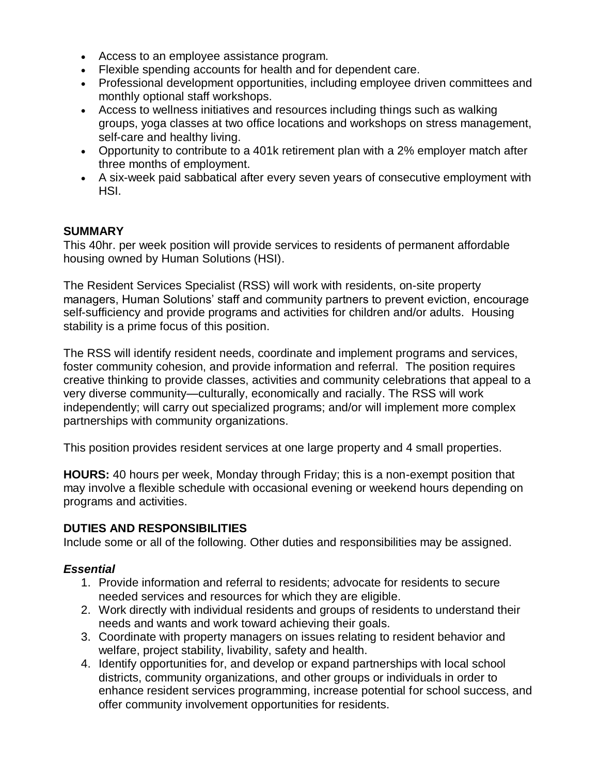- Access to an employee assistance program.
- Flexible spending accounts for health and for dependent care.
- Professional development opportunities, including employee driven committees and monthly optional staff workshops.
- Access to wellness initiatives and resources including things such as walking groups, yoga classes at two office locations and workshops on stress management, self-care and healthy living.
- Opportunity to contribute to a 401k retirement plan with a 2% employer match after three months of employment.
- A six-week paid sabbatical after every seven years of consecutive employment with HSI.

## **SUMMARY**

This 40hr. per week position will provide services to residents of permanent affordable housing owned by Human Solutions (HSI).

The Resident Services Specialist (RSS) will work with residents, on-site property managers, Human Solutions' staff and community partners to prevent eviction, encourage self-sufficiency and provide programs and activities for children and/or adults. Housing stability is a prime focus of this position.

The RSS will identify resident needs, coordinate and implement programs and services, foster community cohesion, and provide information and referral. The position requires creative thinking to provide classes, activities and community celebrations that appeal to a very diverse community—culturally, economically and racially. The RSS will work independently; will carry out specialized programs; and/or will implement more complex partnerships with community organizations.

This position provides resident services at one large property and 4 small properties.

**HOURS:** 40 hours per week, Monday through Friday; this is a non-exempt position that may involve a flexible schedule with occasional evening or weekend hours depending on programs and activities.

## **DUTIES AND RESPONSIBILITIES**

Include some or all of the following. Other duties and responsibilities may be assigned.

## *Essential*

- 1. Provide information and referral to residents; advocate for residents to secure needed services and resources for which they are eligible.
- 2. Work directly with individual residents and groups of residents to understand their needs and wants and work toward achieving their goals.
- 3. Coordinate with property managers on issues relating to resident behavior and welfare, project stability, livability, safety and health.
- 4. Identify opportunities for, and develop or expand partnerships with local school districts, community organizations, and other groups or individuals in order to enhance resident services programming, increase potential for school success, and offer community involvement opportunities for residents.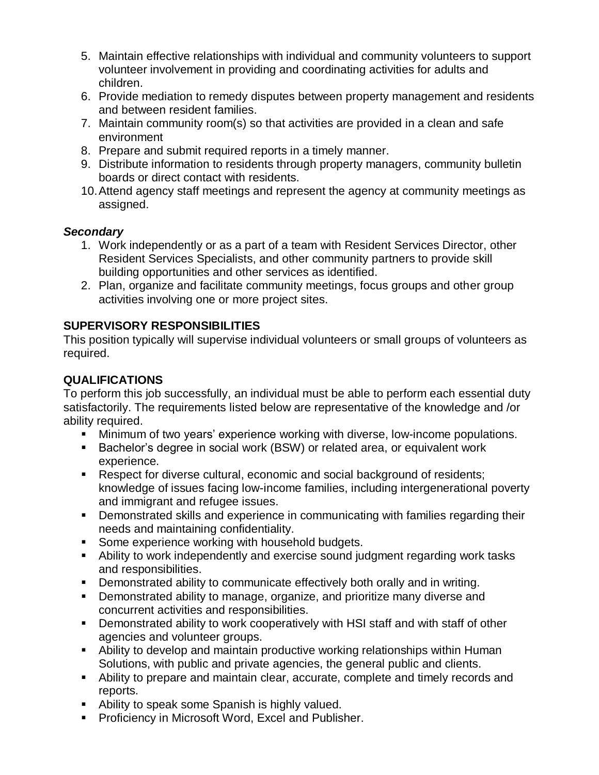- 5. Maintain effective relationships with individual and community volunteers to support volunteer involvement in providing and coordinating activities for adults and children.
- 6. Provide mediation to remedy disputes between property management and residents and between resident families.
- 7. Maintain community room(s) so that activities are provided in a clean and safe environment
- 8. Prepare and submit required reports in a timely manner.
- 9. Distribute information to residents through property managers, community bulletin boards or direct contact with residents.
- 10.Attend agency staff meetings and represent the agency at community meetings as assigned.

## *Secondary*

- 1. Work independently or as a part of a team with Resident Services Director, other Resident Services Specialists, and other community partners to provide skill building opportunities and other services as identified.
- 2. Plan, organize and facilitate community meetings, focus groups and other group activities involving one or more project sites.

# **SUPERVISORY RESPONSIBILITIES**

This position typically will supervise individual volunteers or small groups of volunteers as required.

# **QUALIFICATIONS**

To perform this job successfully, an individual must be able to perform each essential duty satisfactorily. The requirements listed below are representative of the knowledge and /or ability required.

- Minimum of two years' experience working with diverse, low-income populations.
- **Bachelor's degree in social work (BSW) or related area, or equivalent work** experience.
- Respect for diverse cultural, economic and social background of residents; knowledge of issues facing low-income families, including intergenerational poverty and immigrant and refugee issues.
- Demonstrated skills and experience in communicating with families regarding their needs and maintaining confidentiality.
- **Some experience working with household budgets.**
- Ability to work independently and exercise sound judgment regarding work tasks and responsibilities.
- **Demonstrated ability to communicate effectively both orally and in writing.**
- Demonstrated ability to manage, organize, and prioritize many diverse and concurrent activities and responsibilities.
- Demonstrated ability to work cooperatively with HSI staff and with staff of other agencies and volunteer groups.
- Ability to develop and maintain productive working relationships within Human Solutions, with public and private agencies, the general public and clients.
- Ability to prepare and maintain clear, accurate, complete and timely records and reports.
- **Ability to speak some Spanish is highly valued.**
- **Proficiency in Microsoft Word, Excel and Publisher.**